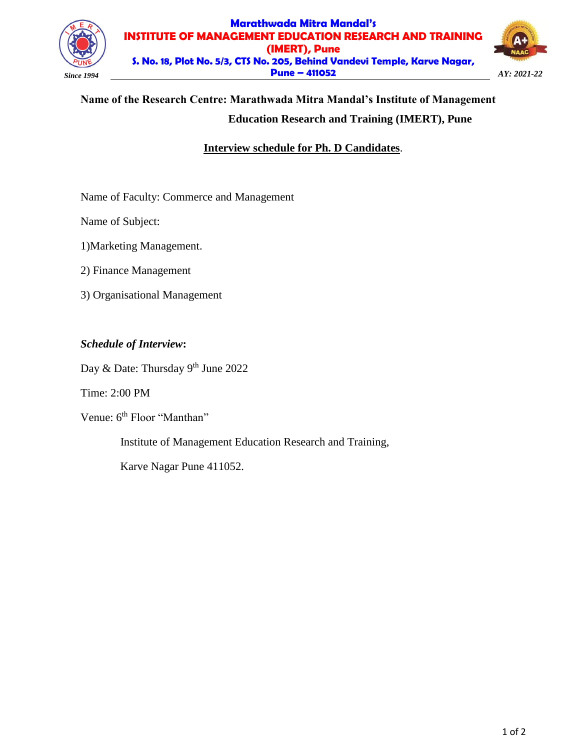

#### **Marathwada Mitra Mandal's INSTITUTE OF MANAGEMENT EDUCATION RESEARCH AND TRAINING (IMERT), Pune S. No. 18, Plot No. 5/3, CTS No. 205, Behind Vandevi Temple, Karve Nagar, Pune – 411052** *Since 1994 AY: 2021-22*



# **Name of the Research Centre: Marathwada Mitra Mandal's Institute of Management Education Research and Training (IMERT), Pune**

# **Interview schedule for Ph. D Candidates**.

Name of Faculty: Commerce and Management

Name of Subject:

1)Marketing Management.

2) Finance Management

3) Organisational Management

# *Schedule of Interview***:**

Day & Date: Thursday 9<sup>th</sup> June 2022

Time: 2:00 PM

Venue: 6<sup>th</sup> Floor "Manthan"

Institute of Management Education Research and Training,

Karve Nagar Pune 411052.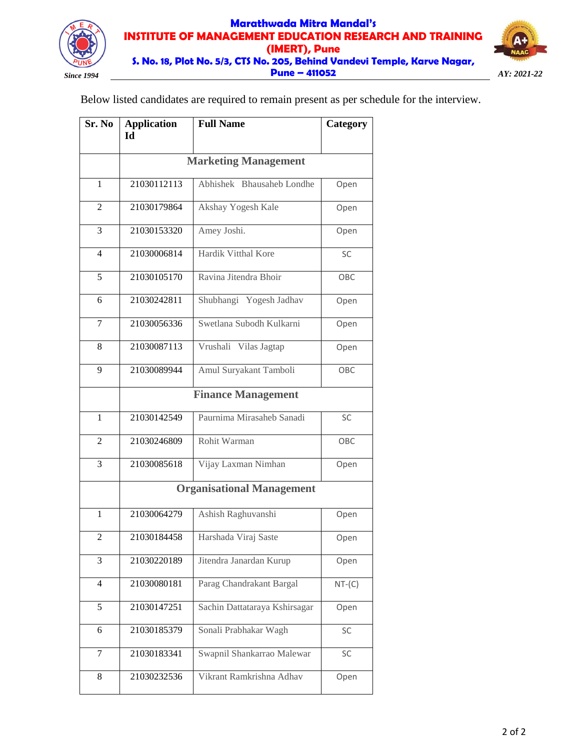

# **Marathwada Mitra Mandal's INSTITUTE OF MANAGEMENT EDUCATION RESEARCH AND TRAINING (IMERT), Pune S. No. 18, Plot No. 5/3, CTS No. 205, Behind Vandevi Temple, Karve Nagar, Pune – 411052** *Since 1994 AY: 2021-22*



Below listed candidates are required to remain present as per schedule for the interview.

| Sr. No                  | <b>Application</b><br>Id         | <b>Full Name</b>              | Category |
|-------------------------|----------------------------------|-------------------------------|----------|
|                         |                                  |                               |          |
|                         | <b>Marketing Management</b>      |                               |          |
| 1                       | 21030112113                      | Abhishek Bhausaheb Londhe     | Open     |
| 2                       | 21030179864                      | Akshay Yogesh Kale            | Open     |
| 3                       | 21030153320                      | Amey Joshi.                   | Open     |
| 4                       | 21030006814                      | Hardik Vitthal Kore           | SC       |
| 5                       | 21030105170                      | Ravina Jitendra Bhoir         | OBC      |
| 6                       | 21030242811                      | Shubhangi Yogesh Jadhav       | Open     |
| 7                       | 21030056336                      | Swetlana Subodh Kulkarni      | Open     |
| 8                       | 21030087113                      | Vrushali Vilas Jagtap         | Open     |
| 9                       | 21030089944                      | Amul Suryakant Tamboli        | OBC      |
|                         |                                  | <b>Finance Management</b>     |          |
| $\mathbf{1}$            | 21030142549                      | Paurnima Mirasaheb Sanadi     | SC       |
| $\overline{2}$          | 21030246809                      | Rohit Warman                  | OBC      |
| 3                       | 21030085618                      | Vijay Laxman Nimhan           | Open     |
|                         | <b>Organisational Management</b> |                               |          |
| $\mathbf{1}$            | 21030064279                      | Ashish Raghuvanshi            | Open     |
| $\overline{\mathbf{c}}$ | 21030184458                      | Harshada Viraj Saste          | Open     |
| 3                       | 21030220189                      | Jitendra Janardan Kurup       | Open     |
| $\overline{4}$          | 21030080181                      | Parag Chandrakant Bargal      | $NT-(C)$ |
| 5                       | 21030147251                      | Sachin Dattataraya Kshirsagar | Open     |
| 6                       | 21030185379                      | Sonali Prabhakar Wagh         | SC       |
| 7                       | 21030183341                      | Swapnil Shankarrao Malewar    | SC       |
| 8                       | 21030232536                      | Vikrant Ramkrishna Adhav      | Open     |